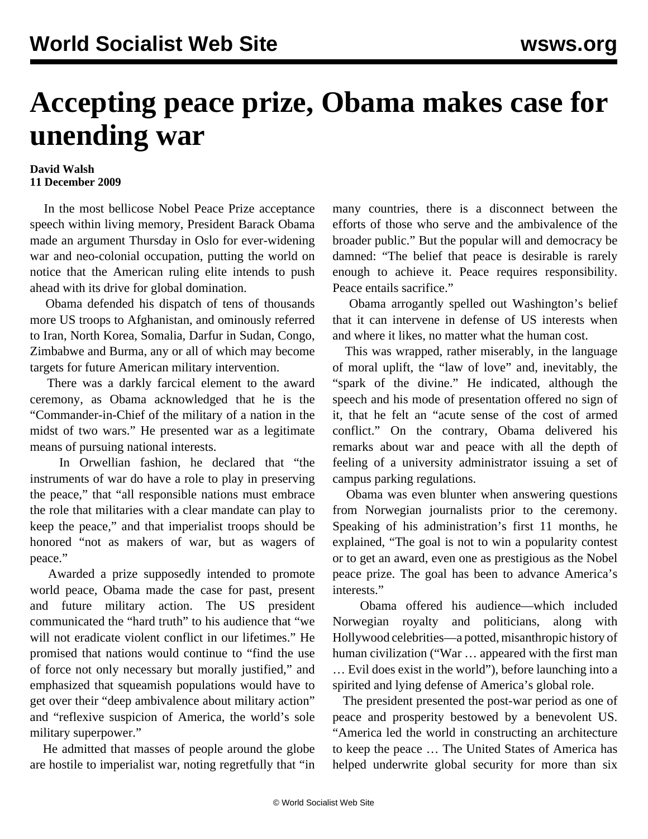## **Accepting peace prize, Obama makes case for unending war**

## **David Walsh 11 December 2009**

 In the most bellicose Nobel Peace Prize acceptance speech within living memory, President Barack Obama made an argument Thursday in Oslo for ever-widening war and neo-colonial occupation, putting the world on notice that the American ruling elite intends to push ahead with its drive for global domination.

 Obama defended his dispatch of tens of thousands more US troops to Afghanistan, and ominously referred to Iran, North Korea, Somalia, Darfur in Sudan, Congo, Zimbabwe and Burma, any or all of which may become targets for future American military intervention.

 There was a darkly farcical element to the award ceremony, as Obama acknowledged that he is the "Commander-in-Chief of the military of a nation in the midst of two wars." He presented war as a legitimate means of pursuing national interests.

 In Orwellian fashion, he declared that "the instruments of war do have a role to play in preserving the peace," that "all responsible nations must embrace the role that militaries with a clear mandate can play to keep the peace," and that imperialist troops should be honored "not as makers of war, but as wagers of peace."

 Awarded a prize supposedly intended to promote world peace, Obama made the case for past, present and future military action. The US president communicated the "hard truth" to his audience that "we will not eradicate violent conflict in our lifetimes." He promised that nations would continue to "find the use of force not only necessary but morally justified," and emphasized that squeamish populations would have to get over their "deep ambivalence about military action" and "reflexive suspicion of America, the world's sole military superpower."

 He admitted that masses of people around the globe are hostile to imperialist war, noting regretfully that "in many countries, there is a disconnect between the efforts of those who serve and the ambivalence of the broader public." But the popular will and democracy be damned: "The belief that peace is desirable is rarely enough to achieve it. Peace requires responsibility. Peace entails sacrifice."

 Obama arrogantly spelled out Washington's belief that it can intervene in defense of US interests when and where it likes, no matter what the human cost.

 This was wrapped, rather miserably, in the language of moral uplift, the "law of love" and, inevitably, the "spark of the divine." He indicated, although the speech and his mode of presentation offered no sign of it, that he felt an "acute sense of the cost of armed conflict." On the contrary, Obama delivered his remarks about war and peace with all the depth of feeling of a university administrator issuing a set of campus parking regulations.

 Obama was even blunter when answering questions from Norwegian journalists prior to the ceremony. Speaking of his administration's first 11 months, he explained, "The goal is not to win a popularity contest or to get an award, even one as prestigious as the Nobel peace prize. The goal has been to advance America's interests."

 Obama offered his audience—which included Norwegian royalty and politicians, along with Hollywood celebrities—a potted, misanthropic history of human civilization ("War … appeared with the first man … Evil does exist in the world"), before launching into a spirited and lying defense of America's global role.

 The president presented the post-war period as one of peace and prosperity bestowed by a benevolent US. "America led the world in constructing an architecture to keep the peace … The United States of America has helped underwrite global security for more than six